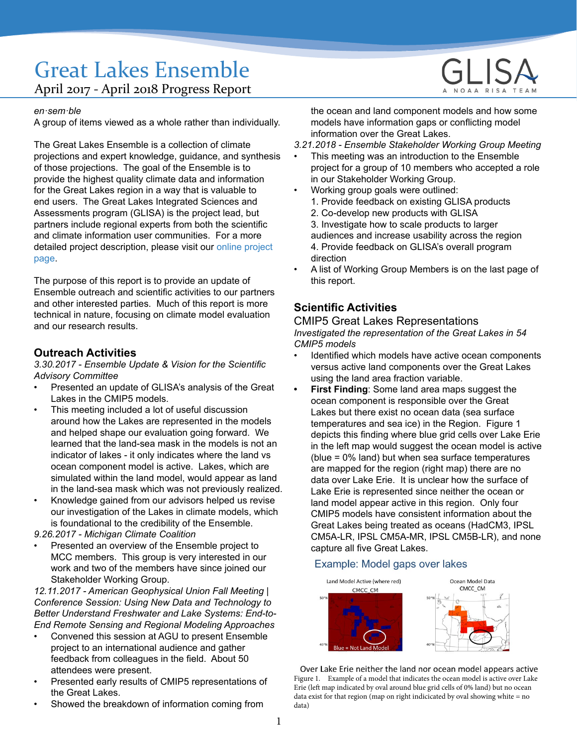# Great Lakes Ensemble April 2017 - April 2018 Progress Report

#### *en·sem·ble*

A group of items viewed as a whole rather than individually.

The Great Lakes Ensemble is a collection of climate projections and expert knowledge, guidance, and synthesis of those projections. The goal of the Ensemble is to provide the highest quality climate data and information for the Great Lakes region in a way that is valuable to end users. The Great Lakes Integrated Sciences and Assessments program (GLISA) is the project lead, but partners include regional experts from both the scientific and climate information user communities. For a more detailed project description, please visit our [online project](http://www.glisa.umich.edu/projects/great-lakes-ensemble)  [page](http://www.glisa.umich.edu/projects/great-lakes-ensemble).

The purpose of this report is to provide an update of Ensemble outreach and scientific activities to our partners and other interested parties. Much of this report is more technical in nature, focusing on climate model evaluation and our research results.

### **Outreach Activities**

*3.30.2017 - Ensemble Update & Vision for the Scientific Advisory Committee*

- Presented an update of GLISA's analysis of the Great Lakes in the CMIP5 models.
- This meeting included a lot of useful discussion around how the Lakes are represented in the models and helped shape our evaluation going forward. We learned that the land-sea mask in the models is not an indicator of lakes - it only indicates where the land vs ocean component model is active. Lakes, which are simulated within the land model, would appear as land in the land-sea mask which was not previously realized.
- Knowledge gained from our advisors helped us revise our investigation of the Lakes in climate models, which is foundational to the credibility of the Ensemble.

*9.26.2017 - Michigan Climate Coalition*

• Presented an overview of the Ensemble project to MCC members. This group is very interested in our work and two of the members have since joined our Stakeholder Working Group.

*12.11.2017 - American Geophysical Union Fall Meeting | Conference Session: Using New Data and Technology to Better Understand Freshwater and Lake Systems: End-to-End Remote Sensing and Regional Modeling Approaches*

- Convened this session at AGU to present Ensemble project to an international audience and gather feedback from colleagues in the field. About 50 attendees were present.
- Presented early results of CMIP5 representations of the Great Lakes.
- Showed the breakdown of information coming from



the ocean and land component models and how some models have information gaps or conflicting model information over the Great Lakes.

*3.21.2018 - Ensemble Stakeholder Working Group Meeting*

- This meeting was an introduction to the Ensemble project for a group of 10 members who accepted a role in our Stakeholder Working Group.
- Working group goals were outlined: 1. Provide feedback on existing GLISA products
	- 2. Co-develop new products with GLISA

3. Investigate how to scale products to larger audiences and increase usability across the region 4. Provide feedback on GLISA's overall program direction

• A list of Working Group Members is on the last page of this report.

# **Scientific Activities**

# CMIP5 Great Lakes Representations

*Investigated the representation of the Great Lakes in 54 CMIP5 models*

- Identified which models have active ocean components versus active land components over the Great Lakes using the land area fraction variable.
	- **First Finding: Some land area maps suggest the** ocean component is responsible over the Great Lakes but there exist no ocean data (sea surface temperatures and sea ice) in the Region. Figure 1 depicts this finding where blue grid cells over Lake Erie in the left map would suggest the ocean model is active (blue = 0% land) but when sea surface temperatures are mapped for the region (right map) there are no data over Lake Erie. It is unclear how the surface of Lake Erie is represented since neither the ocean or land model appear active in this region. Only four CMIP5 models have consistent information about the Great Lakes being treated as oceans (HadCM3, IPSL CM5A-LR, IPSL CM5A-MR, IPSL CM5B-LR), and none capture all five Great Lakes.

### Example: Model gaps over lakes



Over Lake Erie neither the land nor ocean model appears active Figure 1. Example of a model that indicates the ocean model is active over Lake Erie (left map indicated by oval around blue grid cells of 0% land) but no ocean data exist for that region (map on right indicicated by oval showing white = no data)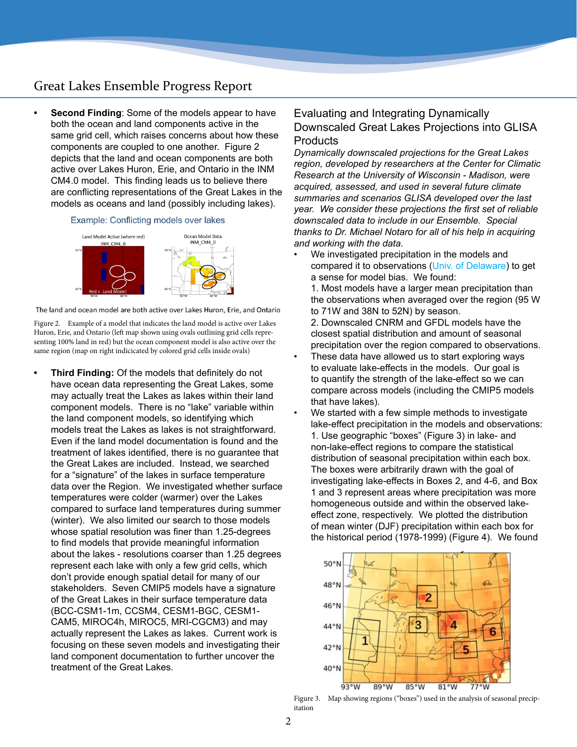# Great Lakes Ensemble Progress Report

**• Second Finding**: Some of the models appear to have both the ocean and land components active in the same grid cell, which raises concerns about how these components are coupled to one another. Figure 2 depicts that the land and ocean components are both active over Lakes Huron, Erie, and Ontario in the INM CM4.0 model. This finding leads us to believe there are conflicting representations of the Great Lakes in the models as oceans and land (possibly including lakes).

#### Example: Conflicting models over lakes



The land and ocean model are both active over Lakes Huron, Erie, and Ontario

Figure 2. Example of a model that indicates the land model is active over Lakes Huron, Erie, and Ontario (left map shown using ovals outlining grid cells representing 100% land in red) but the ocean component model is also active over the same region (map on right indicicated by colored grid cells inside ovals)

**• Third Finding:** Of the models that definitely do not have ocean data representing the Great Lakes, some may actually treat the Lakes as lakes within their land component models. There is no "lake" variable within the land component models, so identifying which models treat the Lakes as lakes is not straightforward. Even if the land model documentation is found and the treatment of lakes identified, there is no guarantee that the Great Lakes are included. Instead, we searched for a "signature" of the lakes in surface temperature data over the Region. We investigated whether surface temperatures were colder (warmer) over the Lakes compared to surface land temperatures during summer (winter). We also limited our search to those models whose spatial resolution was finer than 1.25-degrees to find models that provide meaningful information about the lakes - resolutions coarser than 1.25 degrees represent each lake with only a few grid cells, which don't provide enough spatial detail for many of our stakeholders. Seven CMIP5 models have a signature of the Great Lakes in their surface temperature data (BCC-CSM1-1m, CCSM4, CESM1-BGC, CESM1- CAM5, MIROC4h, MIROC5, MRI-CGCM3) and may actually represent the Lakes as lakes. Current work is focusing on these seven models and investigating their land component documentation to further uncover the treatment of the Great Lakes.

# Evaluating and Integrating Dynamically Downscaled Great Lakes Projections into GLISA **Products**

*Dynamically downscaled projections for the Great Lakes region, developed by researchers at the Center for Climatic Research at the University of Wisconsin - Madison, were acquired, assessed, and used in several future climate summaries and scenarios GLISA developed over the last year. We consider these projections the first set of reliable downscaled data to include in our Ensemble. Special thanks to Dr. Michael Notaro for all of his help in acquiring and working with the data.*

We investigated precipitation in the models and compared it to observations ([Univ. of Delaware](https://www.esrl.noaa.gov/psd/data/gridded/data.UDel_AirT_Precip.html)) to get a sense for model bias. We found:

1. Most models have a larger mean precipitation than the observations when averaged over the region (95 W to 71W and 38N to 52N) by season.

2. Downscaled CNRM and GFDL models have the closest spatial distribution and amount of seasonal precipitation over the region compared to observations.

- These data have allowed us to start exploring ways to evaluate lake-effects in the models. Our goal is to quantify the strength of the lake-effect so we can compare across models (including the CMIP5 models that have lakes).
	- We started with a few simple methods to investigate lake-effect precipitation in the models and observations: 1. Use geographic "boxes" (Figure 3) in lake- and non-lake-effect regions to compare the statistical distribution of seasonal precipitation within each box. The boxes were arbitrarily drawn with the goal of investigating lake-effects in Boxes 2, and 4-6, and Box 1 and 3 represent areas where precipitation was more homogeneous outside and within the observed lakeeffect zone, respectively. We plotted the distribution of mean winter (DJF) precipitation within each box for the historical period (1978-1999) (Figure 4). We found



Figure 3. Map showing regions ("boxes") used in the analysis of seasonal precipitation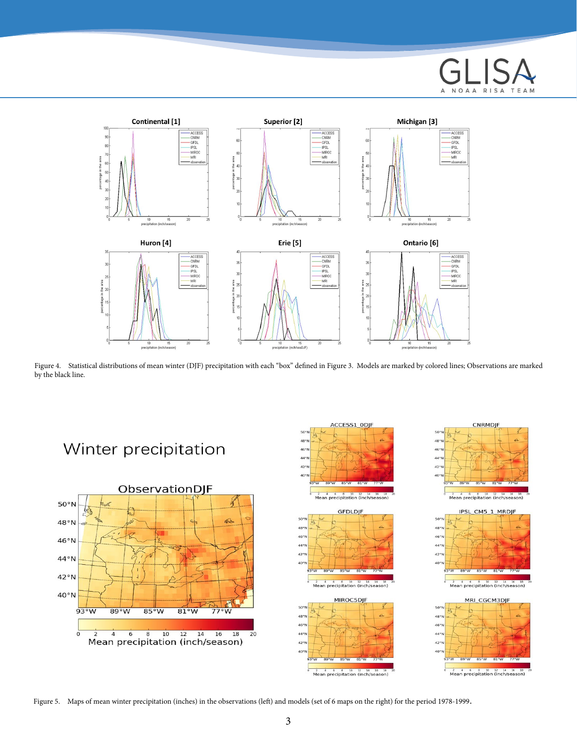



Figure 4. Statistical distributions of mean winter (DJF) precipitation with each "box" defined in Figure 3. Models are marked by colored lines; Observations are marked by the black line.



Figure 5. Maps of mean winter precipitation (inches) in the observations (left) and models (set of 6 maps on the right) for the period 1978-1999.